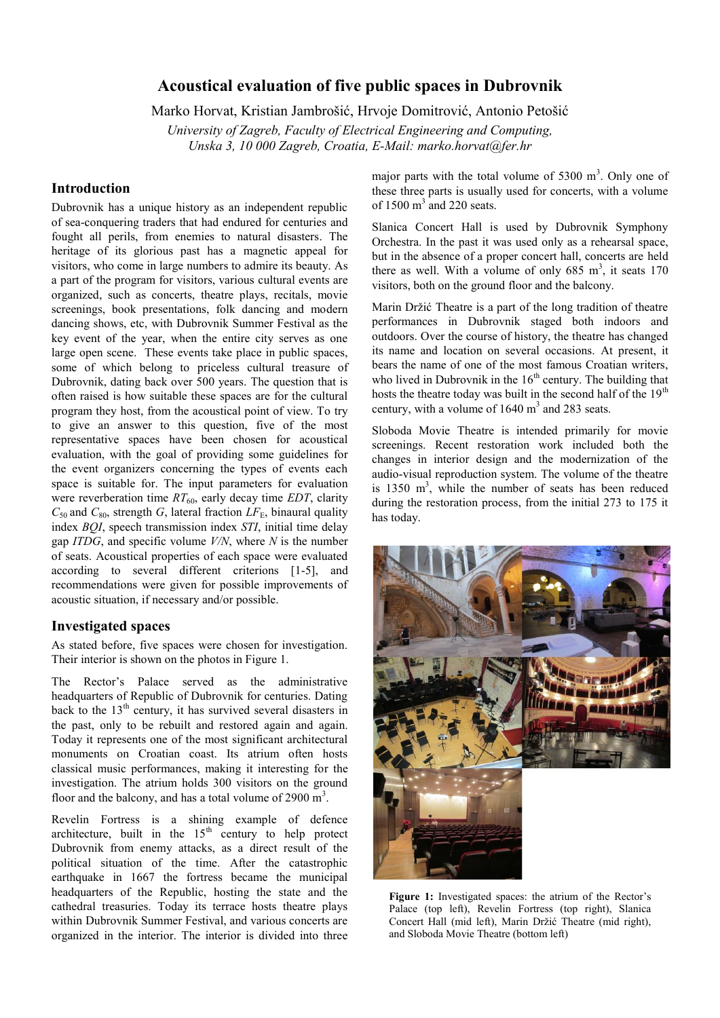# **Acoustical evaluation of five public spaces in Dubrovnik**

Marko Horvat, Kristian Jambrošić, Hrvoje Domitrović, Antonio Petošić

*University of Zagreb, Faculty of Electrical Engineering and Computing, Unska 3, 10 000 Zagreb, Croatia, E-Mail: marko.horvat@fer.hr*

# **Introduction**

Dubrovnik has a unique history as an independent republic of sea-conquering traders that had endured for centuries and fought all perils, from enemies to natural disasters. The heritage of its glorious past has a magnetic appeal for visitors, who come in large numbers to admire its beauty. As a part of the program for visitors, various cultural events are organized, such as concerts, theatre plays, recitals, movie screenings, book presentations, folk dancing and modern dancing shows, etc, with Dubrovnik Summer Festival as the key event of the year, when the entire city serves as one large open scene. These events take place in public spaces, some of which belong to priceless cultural treasure of Dubrovnik, dating back over 500 years. The question that is often raised is how suitable these spaces are for the cultural program they host, from the acoustical point of view. To try to give an answer to this question, five of the most representative spaces have been chosen for acoustical evaluation, with the goal of providing some guidelines for the event organizers concerning the types of events each space is suitable for. The input parameters for evaluation were reverberation time  $RT_{60}$ , early decay time *EDT*, clarity  $C_{50}$  and  $C_{80}$ , strength *G*, lateral fraction  $LF_{E}$ , binaural quality index *BQI*, speech transmission index *STI*, initial time delay gap *ITDG*, and specific volume *V/N*, where *N* is the number of seats. Acoustical properties of each space were evaluated according to several different criterions [1-5], and recommendations were given for possible improvements of acoustic situation, if necessary and/or possible.

#### **Investigated spaces**

As stated before, five spaces were chosen for investigation. Their interior is shown on the photos in Figure 1.

The Rector's Palace served as the administrative headquarters of Republic of Dubrovnik for centuries. Dating back to the  $13<sup>th</sup>$  century, it has survived several disasters in the past, only to be rebuilt and restored again and again. Today it represents one of the most significant architectural monuments on Croatian coast. Its atrium often hosts classical music performances, making it interesting for the investigation. The atrium holds 300 visitors on the ground floor and the balcony, and has a total volume of  $2900 \text{ m}^3$ .

Revelin Fortress is a shining example of defence architecture, built in the  $15<sup>th</sup>$  century to help protect Dubrovnik from enemy attacks, as a direct result of the political situation of the time. After the catastrophic earthquake in 1667 the fortress became the municipal headquarters of the Republic, hosting the state and the cathedral treasuries. Today its terrace hosts theatre plays within Dubrovnik Summer Festival, and various concerts are organized in the interior. The interior is divided into three

major parts with the total volume of  $5300 \text{ m}^3$ . Only one of these three parts is usually used for concerts, with a volume of  $1500 \text{ m}^3$  and 220 seats.

Slanica Concert Hall is used by Dubrovnik Symphony Orchestra. In the past it was used only as a rehearsal space, but in the absence of a proper concert hall, concerts are held there as well. With a volume of only  $685 \text{ m}^3$ , it seats  $170$ visitors, both on the ground floor and the balcony.

Marin Držić Theatre is a part of the long tradition of theatre performances in Dubrovnik staged both indoors and outdoors. Over the course of history, the theatre has changed its name and location on several occasions. At present, it bears the name of one of the most famous Croatian writers, who lived in Dubrovnik in the  $16<sup>th</sup>$  century. The building that hosts the theatre today was built in the second half of the 19<sup>th</sup> century, with a volume of  $1640 \text{ m}^3$  and 283 seats.

Sloboda Movie Theatre is intended primarily for movie screenings. Recent restoration work included both the changes in interior design and the modernization of the audio-visual reproduction system. The volume of the theatre is 1350  $m<sup>3</sup>$ , while the number of seats has been reduced during the restoration process, from the initial 273 to 175 it has today.



Figure 1: Investigated spaces: the atrium of the Rector's Palace (top left), Revelin Fortress (top right), Slanica Concert Hall (mid left), Marin Držić Theatre (mid right), and Sloboda Movie Theatre (bottom left)